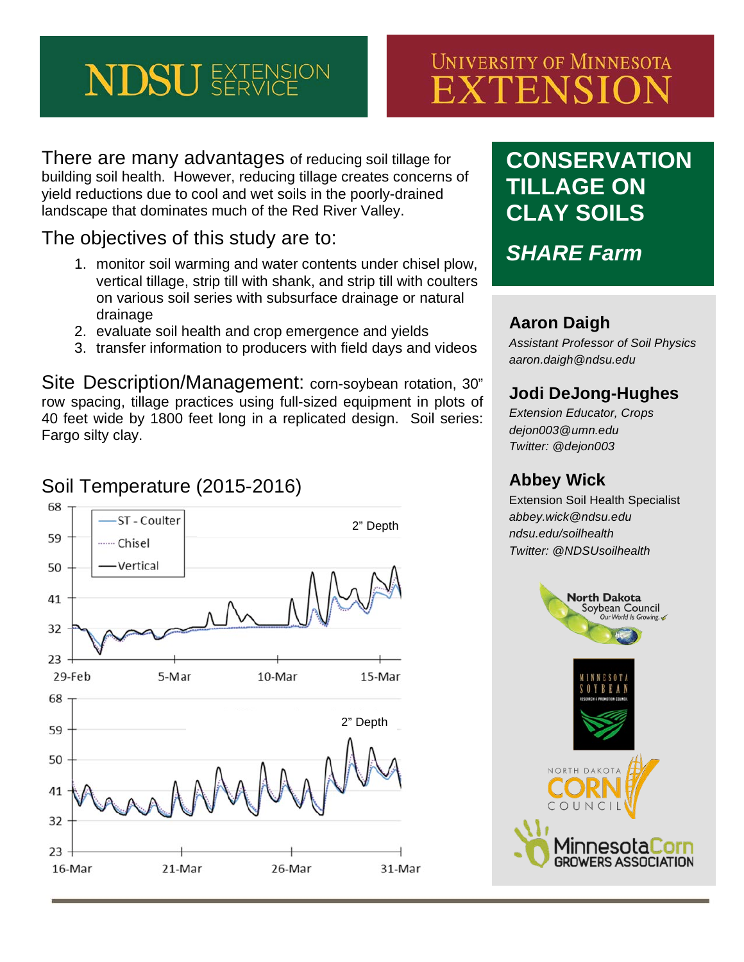# **NDSU** EXTENSION

# **UNIVERSITY OF MINNESOTA** EXTENSION

There are many advantages of reducing soil tillage for building soil health. However, reducing tillage creates concerns of yield reductions due to cool and wet soils in the poorly-drained landscape that dominates much of the Red River Valley.

#### The objectives of this study are to:

- 1. monitor soil warming and water contents under chisel plow, vertical tillage, strip till with shank, and strip till with coulters on various soil series with subsurface drainage or natural drainage
- 2. evaluate soil health and crop emergence and yields
- 3. transfer information to producers with field days and videos

Site Description/Management: corn-soybean rotation, 30" row spacing, tillage practices using full-sized equipment in plots of 40 feet wide by 1800 feet long in a replicated design. Soil series: Fargo silty clay.

#### 68 ST - Coulter 2" Depth 59 ....... Chisel Vertical 50 41 32 23 29-Feb 5-Mar 10-Mar 15-Mar 68 2" Depth59 50 41 32 23 16-Mar 21-Mar 26-Mar 31-Mar

# **CONSERVATION TILLAGE ON CLAY SOILS**

*SHARE Farm*

#### **Aaron Daigh**

*Assistant Professor of Soil Physics aaron.daigh@ndsu.edu*

### **Jodi DeJong-Hughes**

*Extension Educator, Crops dejon003@umn.edu Twitter: @dejon003*

#### **Abbey Wick**

Extension Soil Health Specialist *abbey.wick@ndsu.edu ndsu.edu/soilhealth Twitter: @NDSUsoilhealth*



# Soil Temperature (2015-2016)